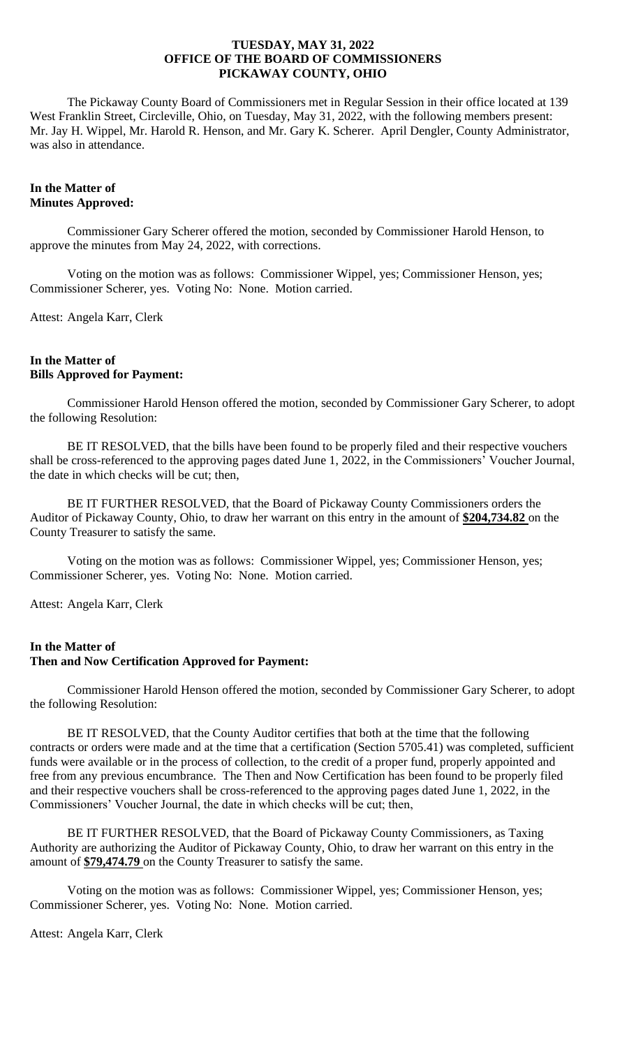The Pickaway County Board of Commissioners met in Regular Session in their office located at 139 West Franklin Street, Circleville, Ohio, on Tuesday, May 31, 2022, with the following members present: Mr. Jay H. Wippel, Mr. Harold R. Henson, and Mr. Gary K. Scherer. April Dengler, County Administrator, was also in attendance.

# **In the Matter of Minutes Approved:**

Commissioner Gary Scherer offered the motion, seconded by Commissioner Harold Henson, to approve the minutes from May 24, 2022, with corrections.

Voting on the motion was as follows: Commissioner Wippel, yes; Commissioner Henson, yes; Commissioner Scherer, yes. Voting No: None. Motion carried.

Attest: Angela Karr, Clerk

# **In the Matter of Bills Approved for Payment:**

Commissioner Harold Henson offered the motion, seconded by Commissioner Gary Scherer, to adopt the following Resolution:

BE IT RESOLVED, that the bills have been found to be properly filed and their respective vouchers shall be cross-referenced to the approving pages dated June 1, 2022, in the Commissioners' Voucher Journal, the date in which checks will be cut; then,

BE IT FURTHER RESOLVED, that the Board of Pickaway County Commissioners orders the Auditor of Pickaway County, Ohio, to draw her warrant on this entry in the amount of **\$204,734.82** on the County Treasurer to satisfy the same.

Voting on the motion was as follows: Commissioner Wippel, yes; Commissioner Henson, yes; Commissioner Scherer, yes. Voting No: None. Motion carried.

Attest: Angela Karr, Clerk

# **In the Matter of Then and Now Certification Approved for Payment:**

Commissioner Harold Henson offered the motion, seconded by Commissioner Gary Scherer, to adopt the following Resolution:

BE IT RESOLVED, that the County Auditor certifies that both at the time that the following contracts or orders were made and at the time that a certification (Section 5705.41) was completed, sufficient funds were available or in the process of collection, to the credit of a proper fund, properly appointed and free from any previous encumbrance. The Then and Now Certification has been found to be properly filed and their respective vouchers shall be cross-referenced to the approving pages dated June 1, 2022, in the Commissioners' Voucher Journal, the date in which checks will be cut; then,

BE IT FURTHER RESOLVED, that the Board of Pickaway County Commissioners, as Taxing Authority are authorizing the Auditor of Pickaway County, Ohio, to draw her warrant on this entry in the amount of **\$79,474.79** on the County Treasurer to satisfy the same.

Voting on the motion was as follows: Commissioner Wippel, yes; Commissioner Henson, yes; Commissioner Scherer, yes. Voting No: None. Motion carried.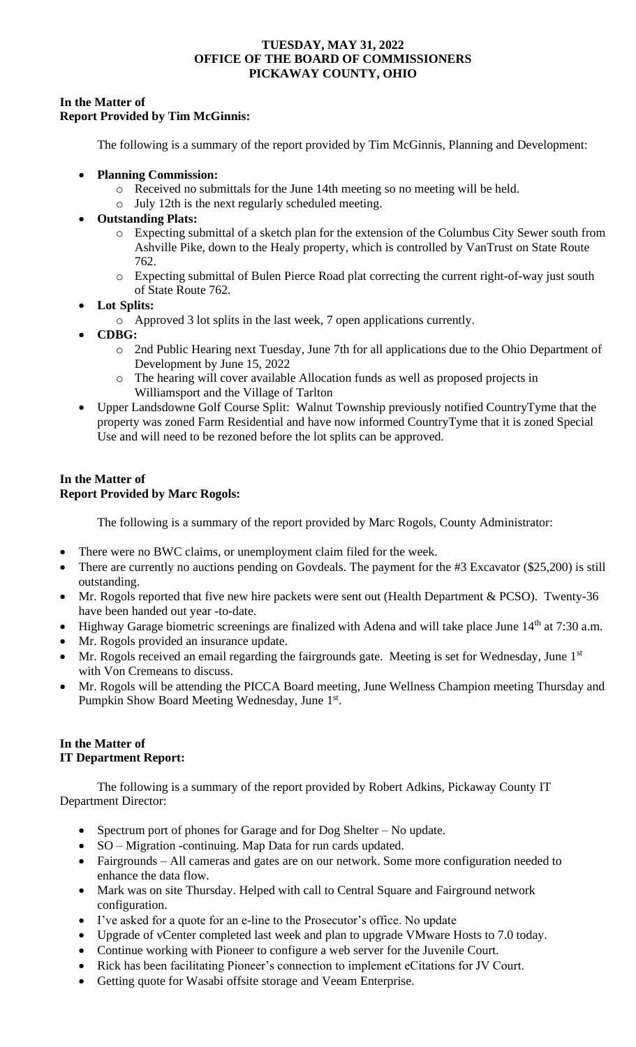# **In the Matter of Report Provided by Tim McGinnis:**

The following is a summary of the report provided by Tim McGinnis, Planning and Development:

- **Planning Commission:** 
	- o Received no submittals for the June 14th meeting so no meeting will be held.
	- o July 12th is the next regularly scheduled meeting.
- **Outstanding Plats:**
	- o Expecting submittal of a sketch plan for the extension of the Columbus City Sewer south from Ashville Pike, down to the Healy property, which is controlled by VanTrust on State Route 762.
	- o Expecting submittal of Bulen Pierce Road plat correcting the current right-of-way just south of State Route 762.
- **Lot Splits:**
	- o Approved 3 lot splits in the last week, 7 open applications currently.
- **CDBG:** 
	- o 2nd Public Hearing next Tuesday, June 7th for all applications due to the Ohio Department of Development by June 15, 2022
	- o The hearing will cover available Allocation funds as well as proposed projects in Williamsport and the Village of Tarlton
- Upper Landsdowne Golf Course Split: Walnut Township previously notified CountryTyme that the property was zoned Farm Residential and have now informed CountryTyme that it is zoned Special Use and will need to be rezoned before the lot splits can be approved.

# **In the Matter of Report Provided by Marc Rogols:**

The following is a summary of the report provided by Marc Rogols, County Administrator:

- There were no BWC claims, or unemployment claim filed for the week.
- There are currently no auctions pending on Govdeals. The payment for the #3 Excavator (\$25,200) is still outstanding.
- Mr. Rogols reported that five new hire packets were sent out (Health Department & PCSO). Twenty-36 have been handed out year -to-date.
- Highway Garage biometric screenings are finalized with Adena and will take place June 14<sup>th</sup> at 7:30 a.m.
- Mr. Rogols provided an insurance update.
- Mr. Rogols received an email regarding the fairgrounds gate. Meeting is set for Wednesday, June 1<sup>st</sup> with Von Cremeans to discuss.
- Mr. Rogols will be attending the PICCA Board meeting, June Wellness Champion meeting Thursday and Pumpkin Show Board Meeting Wednesday, June 1st.

# **In the Matter of IT Department Report:**

The following is a summary of the report provided by Robert Adkins, Pickaway County IT Department Director:

- Spectrum port of phones for Garage and for Dog Shelter No update.
- SO Migration -continuing. Map Data for run cards updated.
- Fairgrounds All cameras and gates are on our network. Some more configuration needed to enhance the data flow.
- Mark was on site Thursday. Helped with call to Central Square and Fairground network configuration.
- I've asked for a quote for an e-line to the Prosecutor's office. No update
- Upgrade of vCenter completed last week and plan to upgrade VMware Hosts to 7.0 today.
- Continue working with Pioneer to configure a web server for the Juvenile Court.
- Rick has been facilitating Pioneer's connection to implement eCitations for JV Court.
- Getting quote for Wasabi offsite storage and Veeam Enterprise.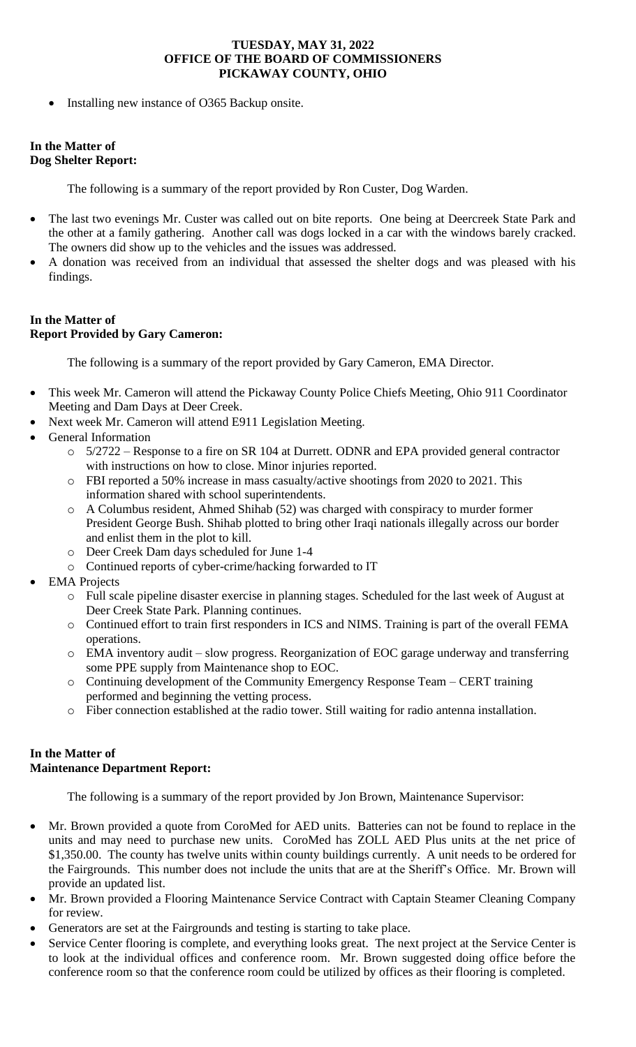• Installing new instance of O365 Backup onsite.

# **In the Matter of Dog Shelter Report:**

The following is a summary of the report provided by Ron Custer, Dog Warden.

- The last two evenings Mr. Custer was called out on bite reports. One being at Deercreek State Park and the other at a family gathering. Another call was dogs locked in a car with the windows barely cracked. The owners did show up to the vehicles and the issues was addressed.
- A donation was received from an individual that assessed the shelter dogs and was pleased with his findings.

# **In the Matter of Report Provided by Gary Cameron:**

The following is a summary of the report provided by Gary Cameron, EMA Director.

- This week Mr. Cameron will attend the Pickaway County Police Chiefs Meeting, Ohio 911 Coordinator Meeting and Dam Days at Deer Creek.
- Next week Mr. Cameron will attend E911 Legislation Meeting.
- General Information
	- o 5/2722 Response to a fire on SR 104 at Durrett. ODNR and EPA provided general contractor with instructions on how to close. Minor injuries reported.
	- o FBI reported a 50% increase in mass casualty/active shootings from 2020 to 2021. This information shared with school superintendents.
	- o A Columbus resident, Ahmed Shihab (52) was charged with conspiracy to murder former President George Bush. Shihab plotted to bring other Iraqi nationals illegally across our border and enlist them in the plot to kill.
	- o Deer Creek Dam days scheduled for June 1-4
	- o Continued reports of cyber-crime/hacking forwarded to IT
- **EMA** Projects
	- o Full scale pipeline disaster exercise in planning stages. Scheduled for the last week of August at Deer Creek State Park. Planning continues.
	- o Continued effort to train first responders in ICS and NIMS. Training is part of the overall FEMA operations.
	- o EMA inventory audit slow progress. Reorganization of EOC garage underway and transferring some PPE supply from Maintenance shop to EOC.
	- o Continuing development of the Community Emergency Response Team CERT training performed and beginning the vetting process.
	- o Fiber connection established at the radio tower. Still waiting for radio antenna installation.

# **In the Matter of Maintenance Department Report:**

The following is a summary of the report provided by Jon Brown, Maintenance Supervisor:

- Mr. Brown provided a quote from CoroMed for AED units. Batteries can not be found to replace in the units and may need to purchase new units. CoroMed has ZOLL AED Plus units at the net price of \$1,350.00. The county has twelve units within county buildings currently. A unit needs to be ordered for the Fairgrounds. This number does not include the units that are at the Sheriff's Office. Mr. Brown will provide an updated list.
- Mr. Brown provided a Flooring Maintenance Service Contract with Captain Steamer Cleaning Company for review.
- Generators are set at the Fairgrounds and testing is starting to take place.
- Service Center flooring is complete, and everything looks great. The next project at the Service Center is to look at the individual offices and conference room. Mr. Brown suggested doing office before the conference room so that the conference room could be utilized by offices as their flooring is completed.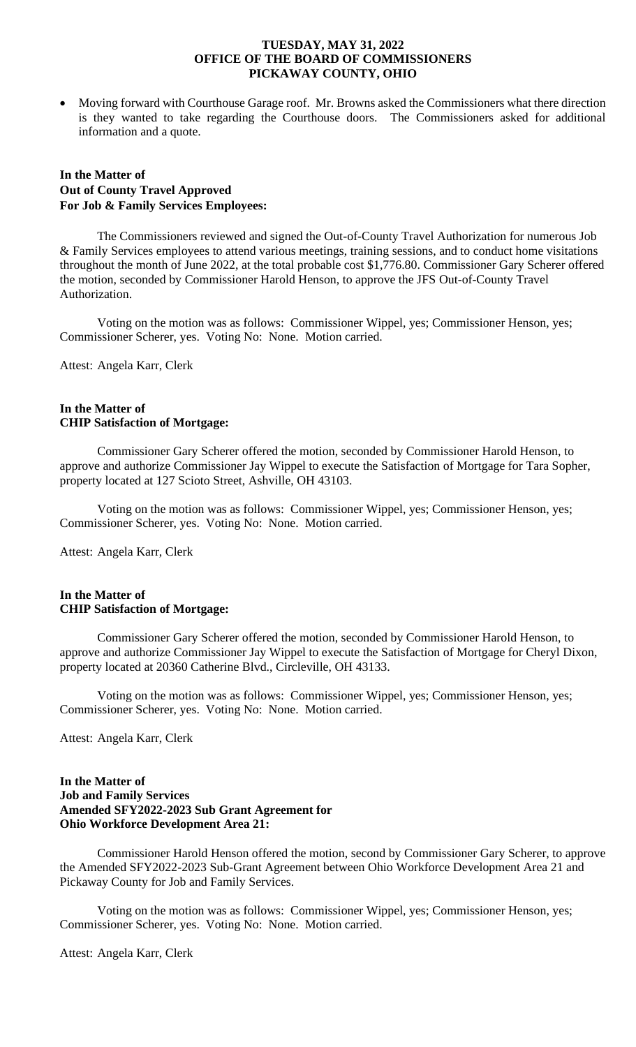• Moving forward with Courthouse Garage roof. Mr. Browns asked the Commissioners what there direction is they wanted to take regarding the Courthouse doors. The Commissioners asked for additional information and a quote.

# **In the Matter of Out of County Travel Approved For Job & Family Services Employees:**

The Commissioners reviewed and signed the Out-of-County Travel Authorization for numerous Job & Family Services employees to attend various meetings, training sessions, and to conduct home visitations throughout the month of June 2022, at the total probable cost \$1,776.80. Commissioner Gary Scherer offered the motion, seconded by Commissioner Harold Henson, to approve the JFS Out-of-County Travel Authorization.

Voting on the motion was as follows: Commissioner Wippel, yes; Commissioner Henson, yes; Commissioner Scherer, yes. Voting No: None. Motion carried.

Attest: Angela Karr, Clerk

#### **In the Matter of CHIP Satisfaction of Mortgage:**

Commissioner Gary Scherer offered the motion, seconded by Commissioner Harold Henson, to approve and authorize Commissioner Jay Wippel to execute the Satisfaction of Mortgage for Tara Sopher, property located at 127 Scioto Street, Ashville, OH 43103.

Voting on the motion was as follows: Commissioner Wippel, yes; Commissioner Henson, yes; Commissioner Scherer, yes. Voting No: None. Motion carried.

Attest: Angela Karr, Clerk

# **In the Matter of CHIP Satisfaction of Mortgage:**

Commissioner Gary Scherer offered the motion, seconded by Commissioner Harold Henson, to approve and authorize Commissioner Jay Wippel to execute the Satisfaction of Mortgage for Cheryl Dixon, property located at 20360 Catherine Blvd., Circleville, OH 43133.

Voting on the motion was as follows: Commissioner Wippel, yes; Commissioner Henson, yes; Commissioner Scherer, yes. Voting No: None. Motion carried.

Attest: Angela Karr, Clerk

### **In the Matter of Job and Family Services Amended SFY2022-2023 Sub Grant Agreement for Ohio Workforce Development Area 21:**

Commissioner Harold Henson offered the motion, second by Commissioner Gary Scherer, to approve the Amended SFY2022-2023 Sub-Grant Agreement between Ohio Workforce Development Area 21 and Pickaway County for Job and Family Services.

Voting on the motion was as follows: Commissioner Wippel, yes; Commissioner Henson, yes; Commissioner Scherer, yes. Voting No: None. Motion carried.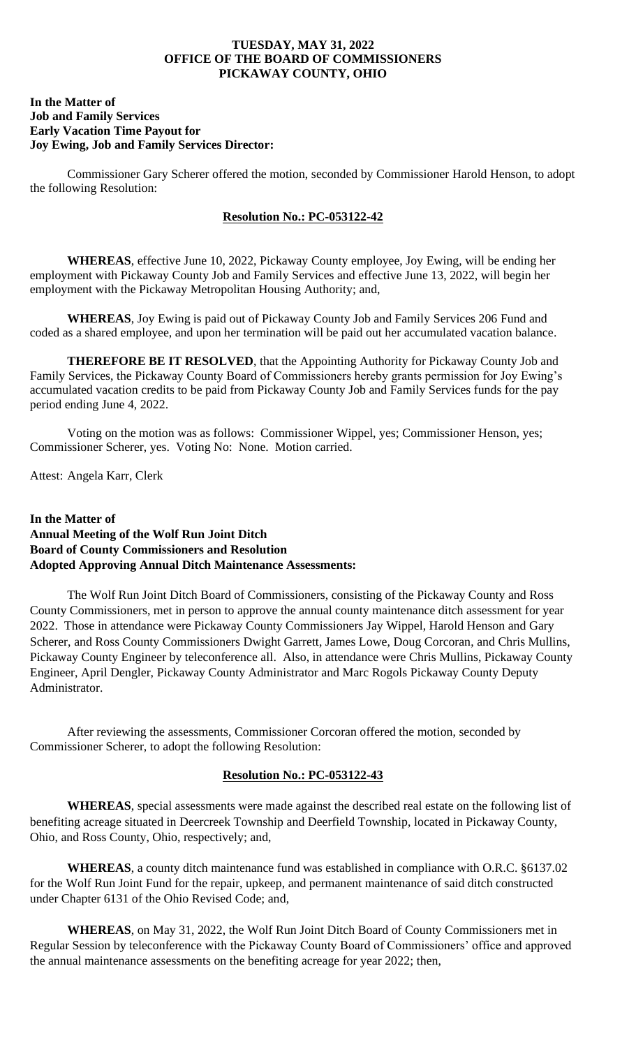### **In the Matter of Job and Family Services Early Vacation Time Payout for Joy Ewing, Job and Family Services Director:**

Commissioner Gary Scherer offered the motion, seconded by Commissioner Harold Henson, to adopt the following Resolution:

### **Resolution No.: PC-053122-42**

**WHEREAS**, effective June 10, 2022, Pickaway County employee, Joy Ewing, will be ending her employment with Pickaway County Job and Family Services and effective June 13, 2022, will begin her employment with the Pickaway Metropolitan Housing Authority; and,

**WHEREAS**, Joy Ewing is paid out of Pickaway County Job and Family Services 206 Fund and coded as a shared employee, and upon her termination will be paid out her accumulated vacation balance.

**THEREFORE BE IT RESOLVED**, that the Appointing Authority for Pickaway County Job and Family Services, the Pickaway County Board of Commissioners hereby grants permission for Joy Ewing's accumulated vacation credits to be paid from Pickaway County Job and Family Services funds for the pay period ending June 4, 2022.

Voting on the motion was as follows: Commissioner Wippel, yes; Commissioner Henson, yes; Commissioner Scherer, yes. Voting No: None. Motion carried.

Attest: Angela Karr, Clerk

# **In the Matter of Annual Meeting of the Wolf Run Joint Ditch Board of County Commissioners and Resolution Adopted Approving Annual Ditch Maintenance Assessments:**

The Wolf Run Joint Ditch Board of Commissioners, consisting of the Pickaway County and Ross County Commissioners, met in person to approve the annual county maintenance ditch assessment for year 2022. Those in attendance were Pickaway County Commissioners Jay Wippel, Harold Henson and Gary Scherer, and Ross County Commissioners Dwight Garrett, James Lowe, Doug Corcoran, and Chris Mullins, Pickaway County Engineer by teleconference all. Also, in attendance were Chris Mullins, Pickaway County Engineer, April Dengler, Pickaway County Administrator and Marc Rogols Pickaway County Deputy Administrator.

After reviewing the assessments, Commissioner Corcoran offered the motion, seconded by Commissioner Scherer, to adopt the following Resolution:

# **Resolution No.: PC-053122-43**

**WHEREAS**, special assessments were made against the described real estate on the following list of benefiting acreage situated in Deercreek Township and Deerfield Township, located in Pickaway County, Ohio, and Ross County, Ohio, respectively; and,

**WHEREAS**, a county ditch maintenance fund was established in compliance with O.R.C. §6137.02 for the Wolf Run Joint Fund for the repair, upkeep, and permanent maintenance of said ditch constructed under Chapter 6131 of the Ohio Revised Code; and,

**WHEREAS**, on May 31, 2022, the Wolf Run Joint Ditch Board of County Commissioners met in Regular Session by teleconference with the Pickaway County Board of Commissioners' office and approved the annual maintenance assessments on the benefiting acreage for year 2022; then,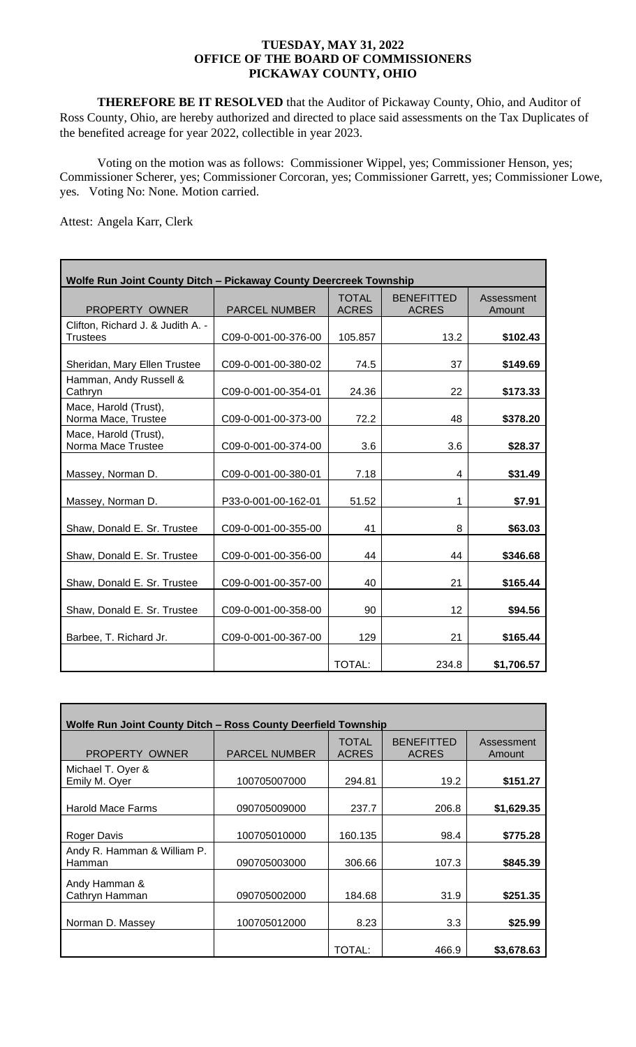**THEREFORE BE IT RESOLVED** that the Auditor of Pickaway County, Ohio, and Auditor of Ross County, Ohio, are hereby authorized and directed to place said assessments on the Tax Duplicates of the benefited acreage for year 2022, collectible in year 2023.

Voting on the motion was as follows: Commissioner Wippel, yes; Commissioner Henson, yes; Commissioner Scherer, yes; Commissioner Corcoran, yes; Commissioner Garrett, yes; Commissioner Lowe, yes. Voting No: None. Motion carried.

| Wolfe Run Joint County Ditch - Pickaway County Deercreek Township |                      |                              |                                   |                      |  |
|-------------------------------------------------------------------|----------------------|------------------------------|-----------------------------------|----------------------|--|
| PROPERTY OWNER                                                    | <b>PARCEL NUMBER</b> | <b>TOTAL</b><br><b>ACRES</b> | <b>BENEFITTED</b><br><b>ACRES</b> | Assessment<br>Amount |  |
| Clifton, Richard J. & Judith A. -<br><b>Trustees</b>              | C09-0-001-00-376-00  | 105.857                      | 13.2                              | \$102.43             |  |
| Sheridan, Mary Ellen Trustee                                      | C09-0-001-00-380-02  | 74.5                         | 37                                | \$149.69             |  |
| Hamman, Andy Russell &<br>Cathryn                                 | C09-0-001-00-354-01  | 24.36                        | 22                                | \$173.33             |  |
| Mace, Harold (Trust),<br>Norma Mace, Trustee                      | C09-0-001-00-373-00  | 72.2                         | 48                                | \$378.20             |  |
| Mace, Harold (Trust),<br>Norma Mace Trustee                       | C09-0-001-00-374-00  | 3.6                          | 3.6                               | \$28.37              |  |
| Massey, Norman D.                                                 | C09-0-001-00-380-01  | 7.18                         | 4                                 | \$31.49              |  |
| Massey, Norman D.                                                 | P33-0-001-00-162-01  | 51.52                        | 1                                 | \$7.91               |  |
| Shaw, Donald E. Sr. Trustee                                       | C09-0-001-00-355-00  | 41                           | 8                                 | \$63.03              |  |
| Shaw, Donald E. Sr. Trustee                                       | C09-0-001-00-356-00  | 44                           | 44                                | \$346.68             |  |
| Shaw, Donald E. Sr. Trustee                                       | C09-0-001-00-357-00  | 40                           | 21                                | \$165.44             |  |
| Shaw, Donald E. Sr. Trustee                                       | C09-0-001-00-358-00  | 90                           | 12                                | \$94.56              |  |
| Barbee, T. Richard Jr.                                            | C09-0-001-00-367-00  | 129                          | 21                                | \$165.44             |  |
|                                                                   |                      | TOTAL:                       | 234.8                             | \$1,706.57           |  |

| Wolfe Run Joint County Ditch - Ross County Deerfield Township |                      |                              |                                   |                      |  |  |
|---------------------------------------------------------------|----------------------|------------------------------|-----------------------------------|----------------------|--|--|
| PROPERTY OWNER                                                | <b>PARCEL NUMBER</b> | <b>TOTAL</b><br><b>ACRES</b> | <b>BENEFITTED</b><br><b>ACRES</b> | Assessment<br>Amount |  |  |
| Michael T. Oyer &<br>Emily M. Oyer                            | 100705007000         | 294.81                       | 19.2                              | \$151.27             |  |  |
| <b>Harold Mace Farms</b>                                      | 090705009000         | 237.7                        | 206.8                             | \$1,629.35           |  |  |
| <b>Roger Davis</b>                                            | 100705010000         | 160.135                      | 98.4                              | \$775.28             |  |  |
| Andy R. Hamman & William P.<br>Hamman                         | 090705003000         | 306.66                       | 107.3                             | \$845.39             |  |  |
| Andy Hamman &<br>Cathryn Hamman                               | 090705002000         | 184.68                       | 31.9                              | \$251.35             |  |  |
| Norman D. Massey                                              | 100705012000         | 8.23                         | 3.3                               | \$25.99              |  |  |
|                                                               |                      | TOTAL:                       | 466.9                             | \$3,678.63           |  |  |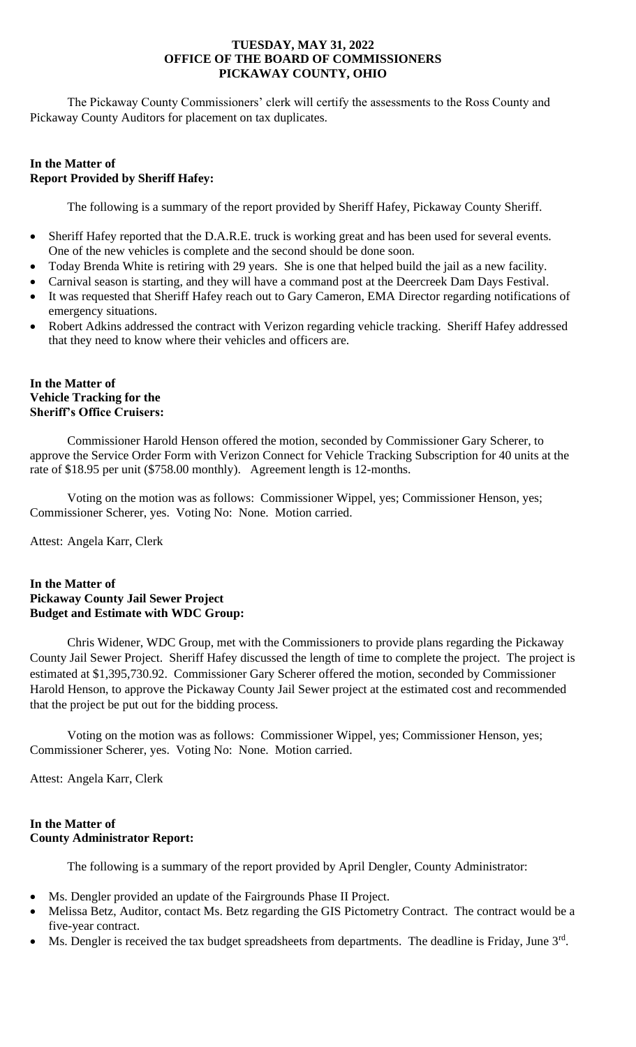The Pickaway County Commissioners' clerk will certify the assessments to the Ross County and Pickaway County Auditors for placement on tax duplicates.

# **In the Matter of Report Provided by Sheriff Hafey:**

The following is a summary of the report provided by Sheriff Hafey, Pickaway County Sheriff.

- Sheriff Hafey reported that the D.A.R.E. truck is working great and has been used for several events. One of the new vehicles is complete and the second should be done soon.
- Today Brenda White is retiring with 29 years. She is one that helped build the jail as a new facility.
- Carnival season is starting, and they will have a command post at the Deercreek Dam Days Festival.
- It was requested that Sheriff Hafey reach out to Gary Cameron, EMA Director regarding notifications of emergency situations.
- Robert Adkins addressed the contract with Verizon regarding vehicle tracking. Sheriff Hafey addressed that they need to know where their vehicles and officers are.

# **In the Matter of Vehicle Tracking for the Sheriff's Office Cruisers:**

Commissioner Harold Henson offered the motion, seconded by Commissioner Gary Scherer, to approve the Service Order Form with Verizon Connect for Vehicle Tracking Subscription for 40 units at the rate of \$18.95 per unit (\$758.00 monthly). Agreement length is 12-months.

Voting on the motion was as follows: Commissioner Wippel, yes; Commissioner Henson, yes; Commissioner Scherer, yes. Voting No: None. Motion carried.

Attest: Angela Karr, Clerk

# **In the Matter of Pickaway County Jail Sewer Project Budget and Estimate with WDC Group:**

Chris Widener, WDC Group, met with the Commissioners to provide plans regarding the Pickaway County Jail Sewer Project. Sheriff Hafey discussed the length of time to complete the project. The project is estimated at \$1,395,730.92. Commissioner Gary Scherer offered the motion, seconded by Commissioner Harold Henson, to approve the Pickaway County Jail Sewer project at the estimated cost and recommended that the project be put out for the bidding process.

Voting on the motion was as follows: Commissioner Wippel, yes; Commissioner Henson, yes; Commissioner Scherer, yes. Voting No: None. Motion carried.

Attest: Angela Karr, Clerk

# **In the Matter of County Administrator Report:**

The following is a summary of the report provided by April Dengler, County Administrator:

- Ms. Dengler provided an update of the Fairgrounds Phase II Project.
- Melissa Betz, Auditor, contact Ms. Betz regarding the GIS Pictometry Contract. The contract would be a five-year contract.
- Ms. Dengler is received the tax budget spreadsheets from departments. The deadline is Friday, June 3<sup>rd</sup>.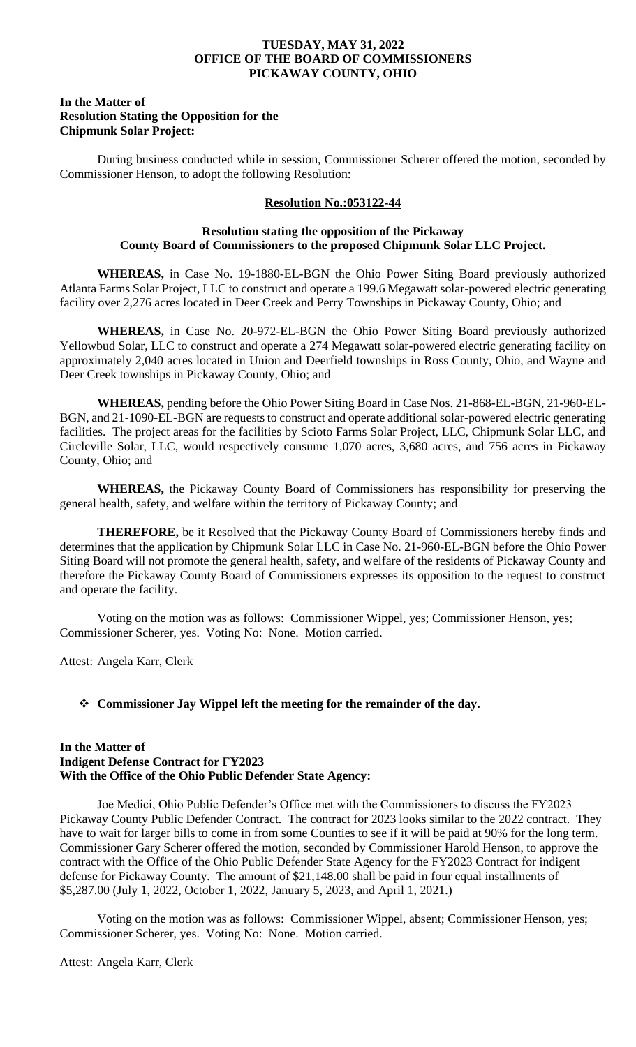### **In the Matter of Resolution Stating the Opposition for the Chipmunk Solar Project:**

During business conducted while in session, Commissioner Scherer offered the motion, seconded by Commissioner Henson, to adopt the following Resolution:

# **Resolution No.:053122-44**

### **Resolution stating the opposition of the Pickaway County Board of Commissioners to the proposed Chipmunk Solar LLC Project.**

**WHEREAS,** in Case No. 19-1880-EL-BGN the Ohio Power Siting Board previously authorized Atlanta Farms Solar Project, LLC to construct and operate a 199.6 Megawatt solar-powered electric generating facility over 2,276 acres located in Deer Creek and Perry Townships in Pickaway County, Ohio; and

**WHEREAS,** in Case No. 20-972-EL-BGN the Ohio Power Siting Board previously authorized Yellowbud Solar, LLC to construct and operate a 274 Megawatt solar-powered electric generating facility on approximately 2,040 acres located in Union and Deerfield townships in Ross County, Ohio, and Wayne and Deer Creek townships in Pickaway County, Ohio; and

**WHEREAS,** pending before the Ohio Power Siting Board in Case Nos. 21-868-EL-BGN, 21-960-EL-BGN, and 21-1090-EL-BGN are requests to construct and operate additional solar-powered electric generating facilities. The project areas for the facilities by Scioto Farms Solar Project, LLC, Chipmunk Solar LLC, and Circleville Solar, LLC, would respectively consume 1,070 acres, 3,680 acres, and 756 acres in Pickaway County, Ohio; and

**WHEREAS,** the Pickaway County Board of Commissioners has responsibility for preserving the general health, safety, and welfare within the territory of Pickaway County; and

**THEREFORE,** be it Resolved that the Pickaway County Board of Commissioners hereby finds and determines that the application by Chipmunk Solar LLC in Case No. 21-960-EL-BGN before the Ohio Power Siting Board will not promote the general health, safety, and welfare of the residents of Pickaway County and therefore the Pickaway County Board of Commissioners expresses its opposition to the request to construct and operate the facility.

Voting on the motion was as follows: Commissioner Wippel, yes; Commissioner Henson, yes; Commissioner Scherer, yes. Voting No: None. Motion carried.

Attest: Angela Karr, Clerk

# ❖ **Commissioner Jay Wippel left the meeting for the remainder of the day.**

### **In the Matter of Indigent Defense Contract for FY2023 With the Office of the Ohio Public Defender State Agency:**

Joe Medici, Ohio Public Defender's Office met with the Commissioners to discuss the FY2023 Pickaway County Public Defender Contract. The contract for 2023 looks similar to the 2022 contract. They have to wait for larger bills to come in from some Counties to see if it will be paid at 90% for the long term. Commissioner Gary Scherer offered the motion, seconded by Commissioner Harold Henson, to approve the contract with the Office of the Ohio Public Defender State Agency for the FY2023 Contract for indigent defense for Pickaway County. The amount of \$21,148.00 shall be paid in four equal installments of \$5,287.00 (July 1, 2022, October 1, 2022, January 5, 2023, and April 1, 2021.)

Voting on the motion was as follows: Commissioner Wippel, absent; Commissioner Henson, yes; Commissioner Scherer, yes. Voting No: None. Motion carried.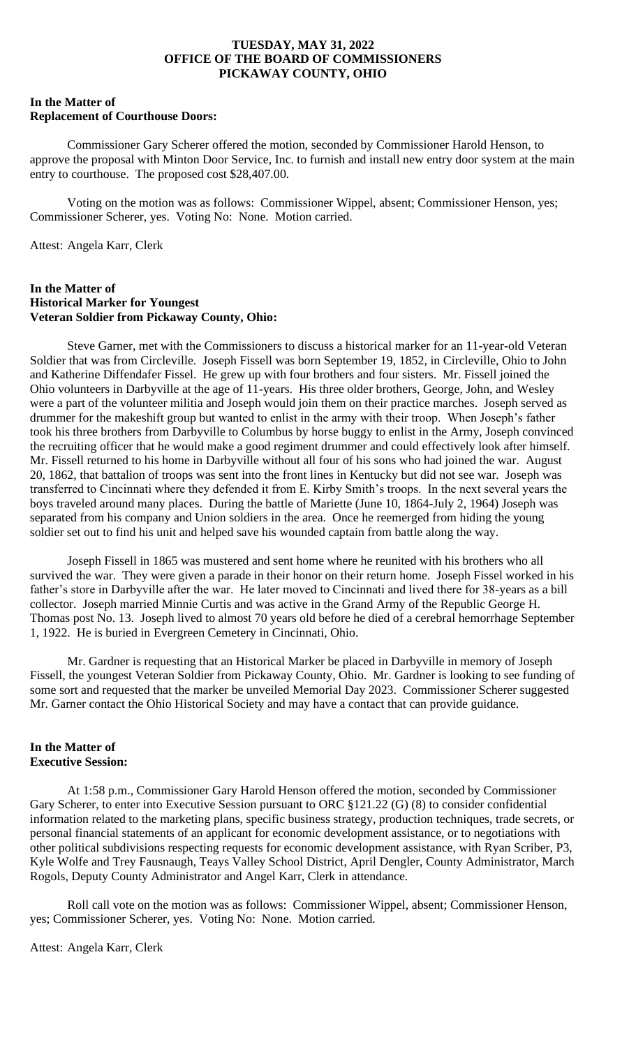### **In the Matter of Replacement of Courthouse Doors:**

Commissioner Gary Scherer offered the motion, seconded by Commissioner Harold Henson, to approve the proposal with Minton Door Service, Inc. to furnish and install new entry door system at the main entry to courthouse. The proposed cost \$28,407.00.

Voting on the motion was as follows: Commissioner Wippel, absent; Commissioner Henson, yes; Commissioner Scherer, yes. Voting No: None. Motion carried.

Attest: Angela Karr, Clerk

### **In the Matter of Historical Marker for Youngest Veteran Soldier from Pickaway County, Ohio:**

Steve Garner, met with the Commissioners to discuss a historical marker for an 11-year-old Veteran Soldier that was from Circleville. Joseph Fissell was born September 19, 1852, in Circleville, Ohio to John and Katherine Diffendafer Fissel. He grew up with four brothers and four sisters. Mr. Fissell joined the Ohio volunteers in Darbyville at the age of 11-years. His three older brothers, George, John, and Wesley were a part of the volunteer militia and Joseph would join them on their practice marches. Joseph served as drummer for the makeshift group but wanted to enlist in the army with their troop. When Joseph's father took his three brothers from Darbyville to Columbus by horse buggy to enlist in the Army, Joseph convinced the recruiting officer that he would make a good regiment drummer and could effectively look after himself. Mr. Fissell returned to his home in Darbyville without all four of his sons who had joined the war. August 20, 1862, that battalion of troops was sent into the front lines in Kentucky but did not see war. Joseph was transferred to Cincinnati where they defended it from E. Kirby Smith's troops. In the next several years the boys traveled around many places. During the battle of Mariette (June 10, 1864-July 2, 1964) Joseph was separated from his company and Union soldiers in the area. Once he reemerged from hiding the young soldier set out to find his unit and helped save his wounded captain from battle along the way.

Joseph Fissell in 1865 was mustered and sent home where he reunited with his brothers who all survived the war. They were given a parade in their honor on their return home. Joseph Fissel worked in his father's store in Darbyville after the war. He later moved to Cincinnati and lived there for 38-years as a bill collector. Joseph married Minnie Curtis and was active in the Grand Army of the Republic George H. Thomas post No. 13. Joseph lived to almost 70 years old before he died of a cerebral hemorrhage September 1, 1922. He is buried in Evergreen Cemetery in Cincinnati, Ohio.

Mr. Gardner is requesting that an Historical Marker be placed in Darbyville in memory of Joseph Fissell, the youngest Veteran Soldier from Pickaway County, Ohio. Mr. Gardner is looking to see funding of some sort and requested that the marker be unveiled Memorial Day 2023. Commissioner Scherer suggested Mr. Garner contact the Ohio Historical Society and may have a contact that can provide guidance.

# **In the Matter of Executive Session:**

At 1:58 p.m., Commissioner Gary Harold Henson offered the motion, seconded by Commissioner Gary Scherer, to enter into Executive Session pursuant to ORC §121.22 (G) (8) to consider confidential information related to the marketing plans, specific business strategy, production techniques, trade secrets, or personal financial statements of an applicant for economic development assistance, or to negotiations with other political subdivisions respecting requests for economic development assistance, with Ryan Scriber, P3, Kyle Wolfe and Trey Fausnaugh, Teays Valley School District, April Dengler, County Administrator, March Rogols, Deputy County Administrator and Angel Karr, Clerk in attendance.

Roll call vote on the motion was as follows: Commissioner Wippel, absent; Commissioner Henson, yes; Commissioner Scherer, yes. Voting No: None. Motion carried.